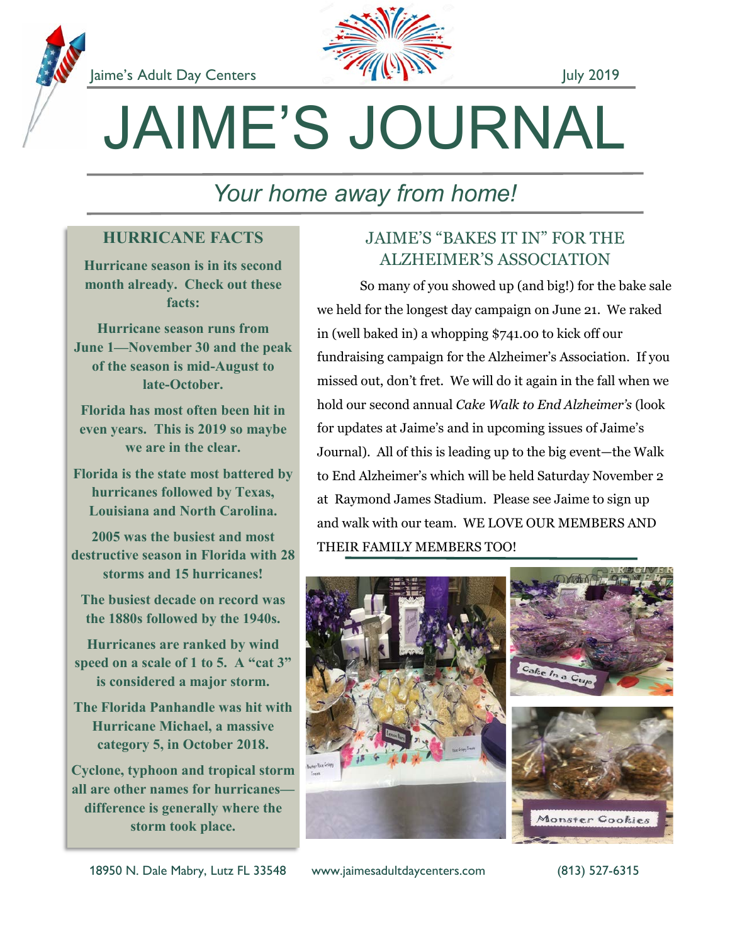



# JAIME'S JOURNAL

## *Your home away from home!*

#### **HURRICANE FACTS**

**Hurricane season is in its second month already. Check out these facts:**

**Hurricane season runs from June 1—November 30 and the peak of the season is mid-August to late-October.**

**Florida has most often been hit in even years. This is 2019 so maybe we are in the clear.**

**Florida is the state most battered by hurricanes followed by Texas, Louisiana and North Carolina.**

**2005 was the busiest and most destructive season in Florida with 28 storms and 15 hurricanes!**

**The busiest decade on record was the 1880s followed by the 1940s.**

**Hurricanes are ranked by wind speed on a scale of 1 to 5. A "cat 3" is considered a major storm.**

**The Florida Panhandle was hit with Hurricane Michael, a massive category 5, in October 2018.**

**Cyclone, typhoon and tropical storm all are other names for hurricanes difference is generally where the storm took place.**

#### JAIME'S "BAKES IT IN" FOR THE ALZHEIMER'S ASSOCIATION

So many of you showed up (and big!) for the bake sale we held for the longest day campaign on June 21. We raked in (well baked in) a whopping \$741.00 to kick off our fundraising campaign for the Alzheimer's Association. If you missed out, don't fret. We will do it again in the fall when we hold our second annual *Cake Walk to End Alzheimer's* (look for updates at Jaime's and in upcoming issues of Jaime's Journal). All of this is leading up to the big event—the Walk to End Alzheimer's which will be held Saturday November 2 at Raymond James Stadium. Please see Jaime to sign up and walk with our team. WE LOVE OUR MEMBERS AND THEIR FAMILY MEMBERS TOO!



18950 N. Dale Mabry, Lutz FL 33548 www.jaimesadultdaycenters.com (813) 527-6315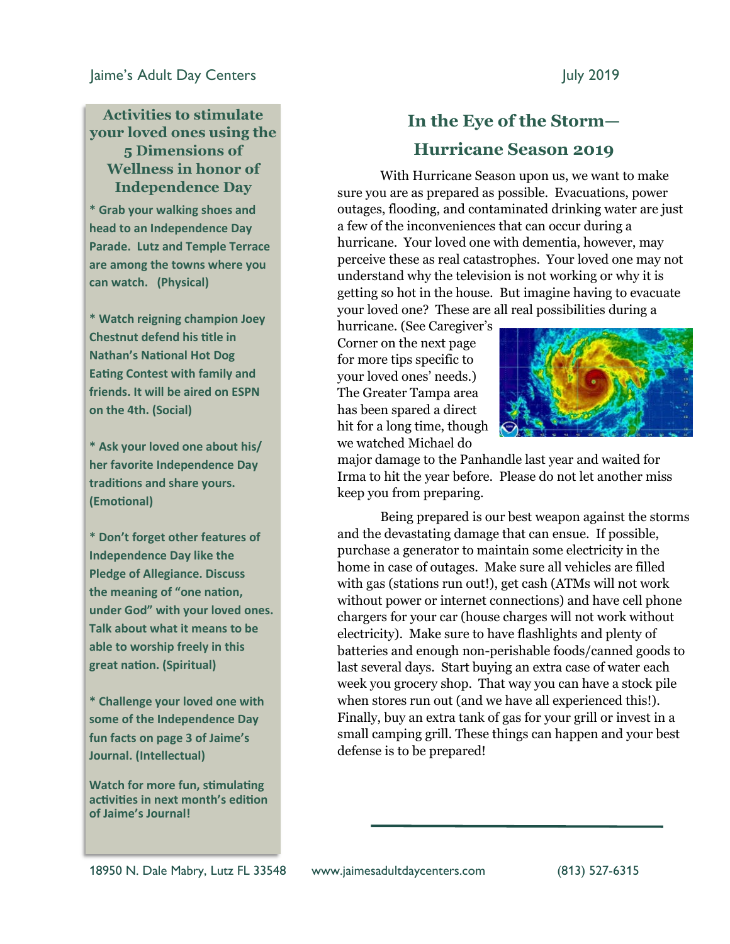#### **Activities to stimulate your loved ones using the 5 Dimensions of Wellness in honor of Independence Day**

**\* Grab your walking shoes and head to an Independence Day Parade. Lutz and Temple Terrace are among the towns where you can watch. (Physical)**

**\* Watch reigning champion Joey Chestnut defend his title in Nathan's National Hot Dog Eating Contest with family and friends. It will be aired on ESPN on the 4th. (Social)**

**\* Ask your loved one about his/ her favorite Independence Day traditions and share yours. (Emotional)**

**\* Don't forget other features of Independence Day like the Pledge of Allegiance. Discuss the meaning of "one nation, under God" with your loved ones. Talk about what it means to be able to worship freely in this great nation. (Spiritual)**

**\* Challenge your loved one with some of the Independence Day fun facts on page 3 of Jaime's Journal. (Intellectual)**

**Watch for more fun, stimulating activities in next month's edition of Jaime's Journal!**

#### **In the Eye of the Storm— Hurricane Season 2019**

With Hurricane Season upon us, we want to make sure you are as prepared as possible. Evacuations, power outages, flooding, and contaminated drinking water are just a few of the inconveniences that can occur during a hurricane. Your loved one with dementia, however, may perceive these as real catastrophes. Your loved one may not understand why the television is not working or why it is getting so hot in the house. But imagine having to evacuate your loved one? These are all real possibilities during a

hurricane. (See Caregiver's Corner on the next page for more tips specific to your loved ones' needs.) The Greater Tampa area has been spared a direct hit for a long time, though we watched Michael do



major damage to the Panhandle last year and waited for Irma to hit the year before. Please do not let another miss keep you from preparing.

Being prepared is our best weapon against the storms and the devastating damage that can ensue. If possible, purchase a generator to maintain some electricity in the home in case of outages. Make sure all vehicles are filled with gas (stations run out!), get cash (ATMs will not work without power or internet connections) and have cell phone chargers for your car (house charges will not work without electricity). Make sure to have flashlights and plenty of batteries and enough non-perishable foods/canned goods to last several days. Start buying an extra case of water each week you grocery shop. That way you can have a stock pile when stores run out (and we have all experienced this!). Finally, buy an extra tank of gas for your grill or invest in a small camping grill. These things can happen and your best defense is to be prepared!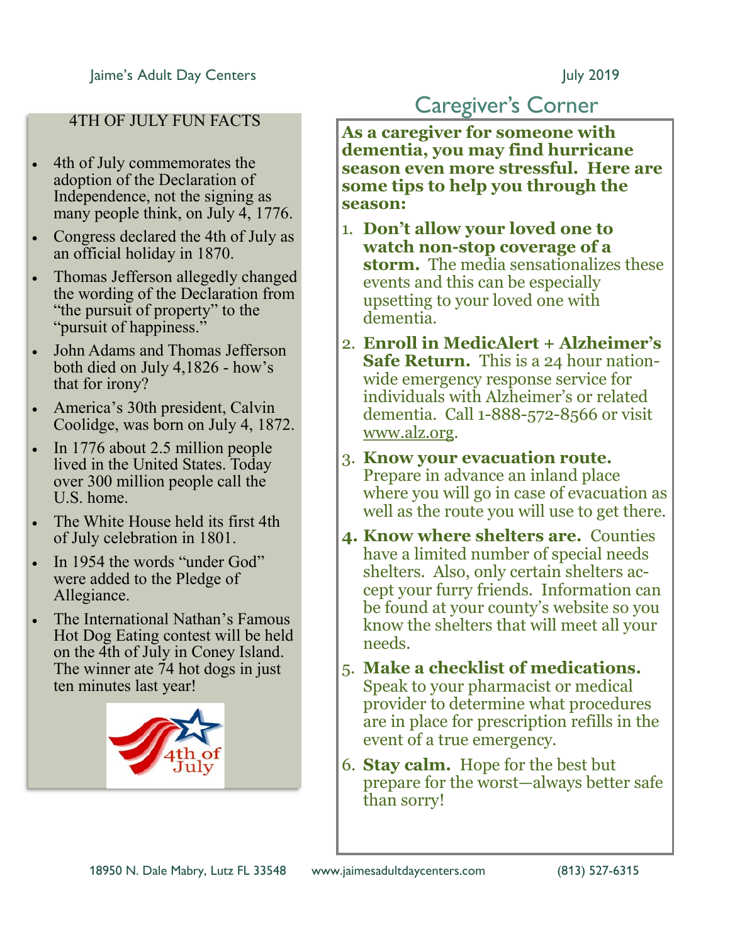#### 4TH OF JULY FUN FACTS

- 4th of July commemorates the adoption of the Declaration of Independence, not the signing as many people think, on July 4, 1776.
- Congress declared the 4th of July as an official holiday in 1870.
- Thomas Jefferson allegedly changed the wording of the Declaration from "the pursuit of property" to the "pursuit of happiness."
- John Adams and Thomas Jefferson both died on July 4,1826 - how's that for irony?
- America's 30th president, Calvin Coolidge, was born on July 4, 1872.
- In 1776 about 2.5 million people lived in the United States. Today over 300 million people call the U.S. home.
- The White House held its first 4th of July celebration in 1801.
- In 1954 the words "under God" were added to the Pledge of Allegiance.
- The International Nathan's Famous Hot Dog Eating contest will be held on the 4th of July in Coney Island. The winner ate 74 hot dogs in just ten minutes last year!



### Caregiver's Corner

**As a caregiver for someone with dementia, you may find hurricane season even more stressful. Here are some tips to help you through the season:**

- 1. **Don't allow your loved one to watch non-stop coverage of a storm.** The media sensationalizes these events and this can be especially upsetting to your loved one with dementia.
- 2. **Enroll in MedicAlert + Alzheimer's Safe Return.** This is a 24 hour nationwide emergency response service for individuals with Alzheimer's or related dementia. Call 1-888-572-8566 or visit www.alz.org.
- 3. **Know your evacuation route.**  Prepare in advance an inland place where you will go in case of evacuation as well as the route you will use to get there.
- **4. Know where shelters are.** Counties have a limited number of special needs shelters. Also, only certain shelters accept your furry friends. Information can be found at your county's website so you know the shelters that will meet all your needs.
- 5. **Make a checklist of medications.**  Speak to your pharmacist or medical provider to determine what procedures are in place for prescription refills in the event of a true emergency.
- 6. **Stay calm.** Hope for the best but prepare for the worst—always better safe than sorry!